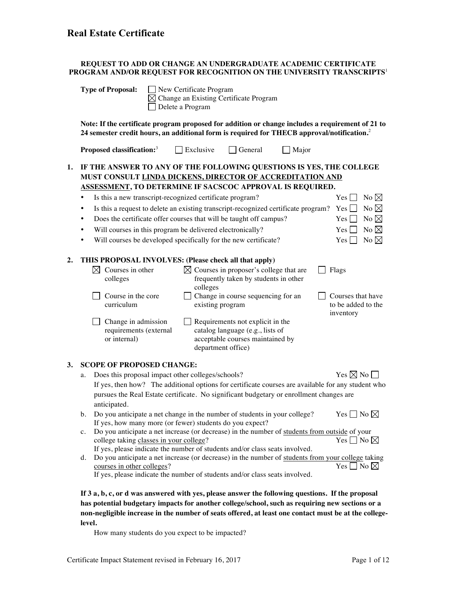#### **REQUEST TO ADD OR CHANGE AN UNDERGRADUATE ACADEMIC CERTIFICATE PROGRAM AND/OR REQUEST FOR RECOGNITION ON THE UNIVERSITY TRANSCRIPTS**<sup>1</sup>

|    | <b>Type of Proposal:</b><br>New Certificate Program<br>Change an Existing Certificate Program<br>Delete a Program                                                                                                                                                                                                                                                                                                                                                                                                                                                                                                                                                                                                                                                                                                                                                                                                                                                                                                                                                                    |  |  |  |  |  |  |
|----|--------------------------------------------------------------------------------------------------------------------------------------------------------------------------------------------------------------------------------------------------------------------------------------------------------------------------------------------------------------------------------------------------------------------------------------------------------------------------------------------------------------------------------------------------------------------------------------------------------------------------------------------------------------------------------------------------------------------------------------------------------------------------------------------------------------------------------------------------------------------------------------------------------------------------------------------------------------------------------------------------------------------------------------------------------------------------------------|--|--|--|--|--|--|
|    | Note: If the certificate program proposed for addition or change includes a requirement of 21 to<br>24 semester credit hours, an additional form is required for THECB approval/notification. <sup>2</sup>                                                                                                                                                                                                                                                                                                                                                                                                                                                                                                                                                                                                                                                                                                                                                                                                                                                                           |  |  |  |  |  |  |
|    | Proposed classification: <sup>3</sup><br>Exclusive<br>General<br>Major                                                                                                                                                                                                                                                                                                                                                                                                                                                                                                                                                                                                                                                                                                                                                                                                                                                                                                                                                                                                               |  |  |  |  |  |  |
| 1. | IF THE ANSWER TO ANY OF THE FOLLOWING QUESTIONS IS YES, THE COLLEGE<br>MUST CONSULT LINDA DICKENS, DIRECTOR OF ACCREDITATION AND<br>ASSESSMENT, TO DETERMINE IF SACSCOC APPROVAL IS REQUIRED.<br>Is this a new transcript-recognized certificate program?<br>No $\boxtimes$<br>Yes<br>Is this a request to delete an existing transcript-recognized certificate program?<br>No $\boxtimes$<br><b>Yes</b><br>٠<br>No $\boxtimes$<br>Does the certificate offer courses that will be taught off campus?<br>Yes  <br>٠<br>No $\boxtimes$<br>Will courses in this program be delivered electronically?<br>Yes<br>٠<br>No $\boxtimes$<br>Will courses be developed specifically for the new certificate?<br>Yes<br>٠                                                                                                                                                                                                                                                                                                                                                                      |  |  |  |  |  |  |
| 2. | THIS PROPOSAL INVOLVES: (Please check all that apply)<br>$\boxtimes$ Courses in proposer's college that are<br>$\boxtimes$ Courses in other<br>Flags<br>frequently taken by students in other<br>colleges<br>colleges<br>Change in course sequencing for an<br>Course in the core<br>Courses that have<br>curriculum<br>existing program<br>to be added to the<br>inventory<br>Change in admission<br>Requirements not explicit in the<br>requirements (external<br>catalog language (e.g., lists of<br>or internal)<br>acceptable courses maintained by<br>department office)                                                                                                                                                                                                                                                                                                                                                                                                                                                                                                       |  |  |  |  |  |  |
| 3. | <b>SCOPE OF PROPOSED CHANGE:</b><br>Yes $\boxtimes$ No [<br>Does this proposal impact other colleges/schools?<br>a.<br>If yes, then how? The additional options for certificate courses are available for any student who<br>pursues the Real Estate certificate. No significant budgetary or enrollment changes are<br>anticipated.<br>Do you anticipate a net change in the number of students in your college?<br>$\mathsf{\mid} \mathsf{No} \mathbin{\bowtie}$<br>Yes <sub>1</sub><br>b.<br>If yes, how many more (or fewer) students do you expect?<br>Do you anticipate a net increase (or decrease) in the number of students from outside of your<br>$c_{\cdot}$<br>Yes $\Box$ No $\boxtimes$<br>college taking classes in your college?<br>If yes, please indicate the number of students and/or class seats involved.<br>Do you anticipate a net increase (or decrease) in the number of students from your college taking<br>d.<br>Yes $\Box$ No $\boxtimes$<br>courses in other colleges?<br>If yes, please indicate the number of students and/or class seats involved. |  |  |  |  |  |  |

**If 3 a, b, c, or d was answered with yes, please answer the following questions. If the proposal has potential budgetary impacts for another college/school, such as requiring new sections or a non-negligible increase in the number of seats offered, at least one contact must be at the collegelevel.**

How many students do you expect to be impacted?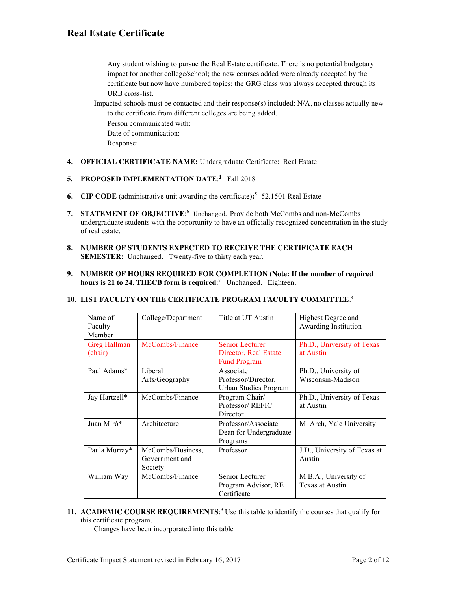Any student wishing to pursue the Real Estate certificate. There is no potential budgetary impact for another college/school; the new courses added were already accepted by the certificate but now have numbered topics; the GRG class was always accepted through its URB cross-list.

Impacted schools must be contacted and their response(s) included: N/A, no classes actually new to the certificate from different colleges are being added. Person communicated with: Date of communication:

Response:

**4. OFFICIAL CERTIFICATE NAME:** Undergraduate Certificate: Real Estate

#### **5. PROPOSED IMPLEMENTATION DATE**: **<sup>4</sup>** Fall 2018

- **6.** CIP CODE (administrative unit awarding the certificate):<sup>5</sup> 52.1501 Real Estate
- 7. **STATEMENT OF OBJECTIVE**:<sup>6</sup> Unchanged. Provide both McCombs and non-McCombs undergraduate students with the opportunity to have an officially recognized concentration in the study of real estate.
- **8. NUMBER OF STUDENTS EXPECTED TO RECEIVE THE CERTIFICATE EACH SEMESTER:** Unchanged. Twenty-five to thirty each year.
- **9. NUMBER OF HOURS REQUIRED FOR COMPLETION (Note: If the number of required hours is 21 to 24, THECB form is required**: 7 Unchanged. Eighteen.

#### **10. LIST FACULTY ON THE CERTIFICATE PROGRAM FACULTY COMMITTEE**. 8

| Name of<br>Faculty<br>Member | College/Department                             | Title at UT Austin                                                     | Highest Degree and<br>Awarding Institution |
|------------------------------|------------------------------------------------|------------------------------------------------------------------------|--------------------------------------------|
| Greg Hallman<br>(chair)      | McCombs/Finance                                | <b>Senior Lecturer</b><br>Director, Real Estate<br><b>Fund Program</b> | Ph.D., University of Texas<br>at Austin    |
| Paul Adams*                  | Liberal<br>Arts/Geography                      | Associate<br>Professor/Director,<br>Urban Studies Program              | Ph.D., University of<br>Wisconsin-Madison  |
| Jay Hartzell*                | McCombs/Finance                                | Program Chair/<br>Professor/REFIC<br>Director                          | Ph.D., University of Texas<br>at Austin    |
| Juan Miró*                   | Architecture                                   | Professor/Associate<br>Dean for Undergraduate<br>Programs              | M. Arch, Yale University                   |
| Paula Murray*                | McCombs/Business,<br>Government and<br>Society | Professor                                                              | J.D., University of Texas at<br>Austin     |
| William Way                  | McCombs/Finance                                | Senior Lecturer<br>Program Advisor, RE<br>Certificate                  | M.B.A., University of<br>Texas at Austin   |

**11. ACADEMIC COURSE REQUIREMENTS**<sup>.9</sup> Use this table to identify the courses that qualify for this certificate program.

Changes have been incorporated into this table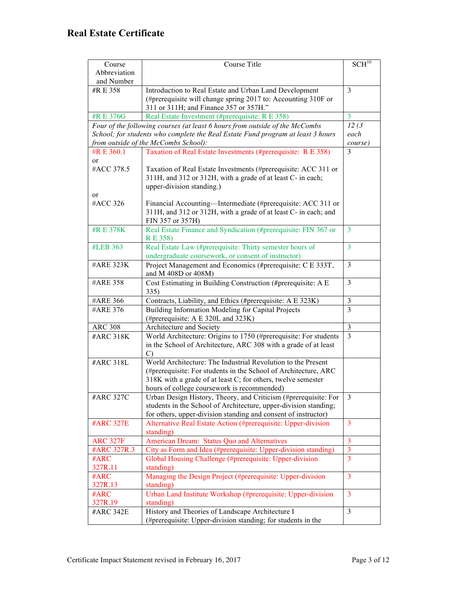|                  |                                                                                 | SCH <sup>10</sup> |  |
|------------------|---------------------------------------------------------------------------------|-------------------|--|
| Course           | Course Title                                                                    |                   |  |
| Abbreviation     |                                                                                 |                   |  |
| and Number       |                                                                                 |                   |  |
| #R E 358         | Introduction to Real Estate and Urban Land Development                          | 3                 |  |
|                  | (#prerequisite will change spring 2017 to: Accounting 310F or                   |                   |  |
|                  | 311 or 311H; and Finance 357 or 357H."                                          |                   |  |
| #R E 376G        | Real Estate Investment (#prerequisite: R E 358)                                 | $\overline{3}$    |  |
|                  | Four of the following courses (at least 6 hours from outside of the McCombs     | 12(3)             |  |
|                  | School; for students who complete the Real Estate Fund program at least 3 hours | each              |  |
|                  | from outside of the McCombs School):                                            |                   |  |
| #R E 360.1       | Taxation of Real Estate Investments (#prerequisite: R E 358)                    | course)<br>3      |  |
| or               |                                                                                 |                   |  |
| #ACC 378.5       | Taxation of Real Estate Investments (#prerequisite: ACC 311 or                  |                   |  |
|                  | 311H, and 312 or 312H, with a grade of at least C- in each;                     |                   |  |
|                  | upper-division standing.)                                                       |                   |  |
| or               |                                                                                 |                   |  |
| #ACC 326         | Financial Accounting—Intermediate (#prerequisite: ACC 311 or                    |                   |  |
|                  | 311H, and 312 or 312H, with a grade of at least C- in each; and                 |                   |  |
|                  | FIN 357 or 357H)                                                                |                   |  |
| #R E 378K        | Real Estate Finance and Syndication (#prerequisite: FIN 367 or                  | 3                 |  |
|                  | <b>RE358</b> )                                                                  |                   |  |
| #LEB 363         | Real Estate Law (#prerequisite: Thirty semester hours of                        | $\overline{3}$    |  |
|                  | undergraduate coursework, or consent of instructor)                             |                   |  |
| #ARE 323K        | Project Management and Economics (#prerequisite: C E 333T,                      | 3                 |  |
|                  | and M 408D or 408M)                                                             |                   |  |
| #ARE 358         | Cost Estimating in Building Construction (#prerequisite: A E                    | 3                 |  |
|                  | 335)                                                                            |                   |  |
|                  |                                                                                 |                   |  |
| #ARE 366         | Contracts, Liability, and Ethics (#prerequisite: A E 323K)                      | 3                 |  |
| #ARE 376         | Building Information Modeling for Capital Projects                              | 3                 |  |
|                  | (#prerequisite: A E 320L and 323K)                                              |                   |  |
| <b>ARC 308</b>   | Architecture and Society                                                        | $\mathfrak{Z}$    |  |
| #ARC 318K        | World Architecture: Origins to 1750 (#prerequisite: For students                | $\overline{3}$    |  |
|                  | in the School of Architecture, ARC 308 with a grade of at least                 |                   |  |
|                  | $\mathcal{C}$                                                                   |                   |  |
| #ARC 318L        | World Architecture: The Industrial Revolution to the Present                    |                   |  |
|                  | (#prerequisite: For students in the School of Architecture, ARC                 |                   |  |
|                  | 318K with a grade of at least C; for others, twelve semester                    |                   |  |
|                  | hours of college coursework is recommended)                                     |                   |  |
| #ARC 327C        | Urban Design History, Theory, and Criticism (#prerequisite: For                 | 3                 |  |
|                  | students in the School of Architecture, upper-division standing;                |                   |  |
|                  | for others, upper-division standing and consent of instructor)                  |                   |  |
| <b>#ARC 327E</b> | Alternative Real Estate Action (#prerequisite: Upper-division                   | 3                 |  |
|                  | standing)                                                                       |                   |  |
| <b>ARC 327F</b>  | American Dream: Status Quo and Alternatives                                     | $\overline{3}$    |  |
| #ARC 327R.3      | City as Form and Idea (#prerequisite: Upper-division standing)                  | 3                 |  |
| #ARC             | Global Housing Challenge (#prerequisite: Upper-division                         | 3                 |  |
| 327R.11          | standing)                                                                       |                   |  |
| #ARC             | Managing the Design Project (#prerequisite: Upper-division                      | 3                 |  |
| 327R.13          | standing)                                                                       |                   |  |
| #ARC             | Urban Land Institute Workshop (#prerequisite: Upper-division                    | 3                 |  |
| 327R.19          | standing)                                                                       |                   |  |
| #ARC 342E        | History and Theories of Landscape Architecture I                                | 3                 |  |
|                  | (#prerequisite: Upper-division standing; for students in the                    |                   |  |
|                  |                                                                                 |                   |  |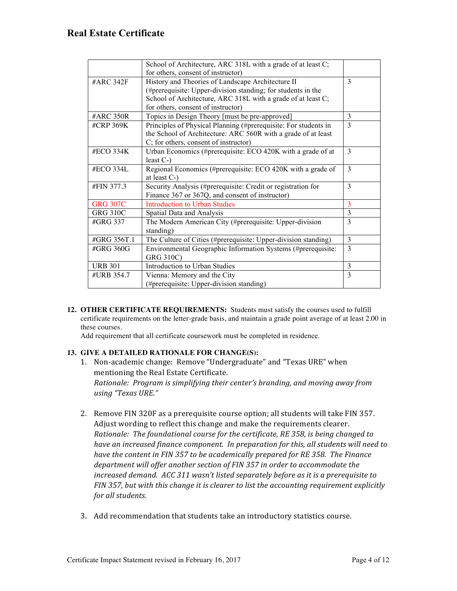|                 | School of Architecture, ARC 318L with a grade of at least C;    |              |
|-----------------|-----------------------------------------------------------------|--------------|
|                 | for others, consent of instructor)                              |              |
| #ARC 342F       | History and Theories of Landscape Architecture II               | 3            |
|                 | (#prerequisite: Upper-division standing; for students in the    |              |
|                 | School of Architecture, ARC 318L with a grade of at least C;    |              |
|                 | for others, consent of instructor)                              |              |
| #ARC 350R       | Topics in Design Theory [must be pre-approved]                  | 3            |
| #CRP 369K       | Principles of Physical Planning (#prerequisite: For students in | $\mathbf{3}$ |
|                 | the School of Architecture: ARC 560R with a grade of at least   |              |
|                 | C; for others, consent of instructor)                           |              |
| #ECO 334K       | Urban Economics (#prerequisite: ECO 420K with a grade of at     | 3            |
|                 | least $C-$                                                      |              |
| #ECO 334L       | Regional Economics (#prerequisite: ECO 420K with a grade of     | 3            |
|                 | at least $C-$                                                   |              |
| #FIN 377.3      | Security Analysis (#prerequisite: Credit or registration for    | 3            |
|                 | Finance 367 or 367Q, and consent of instructor)                 |              |
| <b>GRG 307C</b> | <b>Introduction to Urban Studies</b>                            | 3            |
| <b>GRG 310C</b> | Spatial Data and Analysis                                       | 3            |
| #GRG 337        | The Modern American City (#prerequisite: Upper-division         | 3            |
|                 | standing)                                                       |              |
| #GRG 356T.1     | The Culture of Cities (#prerequisite: Upper-division standing)  | 3            |
| #GRG 360G       | Environmental Geographic Information Systems (#prerequisite:    | 3            |
|                 | GRG 310C)                                                       |              |
| <b>URB 301</b>  | Introduction to Urban Studies                                   | 3            |
| #URB 354.7      | Vienna: Memory and the City                                     | 3            |
|                 | (#prerequisite: Upper-division standing)                        |              |

**12. OTHER CERTIFICATE REQUIREMENTS:** Students must satisfy the courses used to fulfill certificate requirements on the letter-grade basis, and maintain a grade point average of at least 2.00 in these courses.

Add requirement that all certificate coursework must be completed in residence.

#### **13. GIVE A DETAILED RATIONALE FOR CHANGE(S):**

- 1. Non-academic change: Remove "Undergraduate" and "Texas URE" when mentioning the Real Estate Certificate. *Rationale: Program is simplifying their center's branding, and moving away from using "Texas URE."*
- 2. Remove FIN 320F as a prerequisite course option; all students will take FIN 357. Adjust wording to reflect this change and make the requirements clearer. *Rationale: The foundational course for the certificate, RE 358, is being changed to* have an increased finance component. In preparation for this, all students will need to have the content in FIN 357 to be academically prepared for RE 358. The Finance department will offer another section of FIN 357 in order to accommodate the *increased demand. ACC 311 wasn't listed separately before as it is a prerequisite to* FIN 357, but with this change it is clearer to list the accounting requirement explicitly *for all students.*
- 3. Add recommendation that students take an introductory statistics course.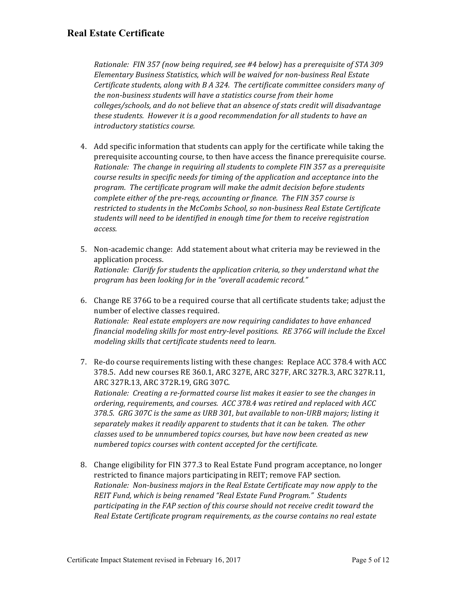*Rationale: FIN 357 (now being required, see #4 below) has a prerequisite of STA 309* Elementary Business Statistics, which will be waived for non-business Real Estate *Certificate students, along with B A 324. The certificate committee considers many of* the non-business students will have a statistics course from their home colleges/schools, and do not believe that an absence of stats credit will disadvantage *these students. However it is a good recommendation for all students to have an introductory statistics course.* 

- 4. Add specific information that students can apply for the certificate while taking the prerequisite accounting course, to then have access the finance prerequisite course. *Rationale: The change in requiring all students to complete FIN 357 as a prerequisite course results* in specific needs for timing of the application and acceptance into the *program.* The certificate program will make the admit decision before students *complete either of the pre-reqs, accounting or finance. The FIN 357 course is* restricted to students in the McCombs School, so non-business Real Estate Certificate students will need to be *identified* in enough time for them to receive registration *access.*
- 5. Non-academic change: Add statement about what criteria may be reviewed in the application process. *Rationale: Clarify for students the application criteria, so they understand what the* program has been looking for in the "overall academic record."
- 6. Change RE 376G to be a required course that all certificate students take; adjust the number of elective classes required. *Rationale: Real estate employers are now requiring candidates to have enhanced financial modeling skills for most entry-level positions. RE 376G will include the Excel modeling skills that certificate students need to learn.*
- 7. Re-do course requirements listing with these changes: Replace ACC 378.4 with ACC 378.5. Add new courses RE 360.1, ARC 327E, ARC 327F, ARC 327R.3, ARC 327R.11, ARC 327R.13, ARC 372R.19, GRG 307C. *Rationale: Creating a re-formatted course list makes it easier to see the changes in* ordering, requirements, and courses. ACC 378.4 was retired and replaced with ACC 378.5. GRG 307C is the same as URB 301, but available to non-URB majors; listing it separately makes it readily apparent to students that it can be taken. The other *classes used to be unnumbered topics courses, but have now been created as new numbered topics courses with content accepted for the certificate.*
- 8. Change eligibility for FIN 377.3 to Real Estate Fund program acceptance, no longer restricted to finance majors participating in REIT; remove FAP section. *Rationale: Non-business majors in the Real Estate Certificate may now apply to the REIT* Fund, which is being renamed "Real Estate Fund Program." Students participating in the FAP section of this course should not receive credit toward the *Real Estate Certificate program requirements, as the course contains no real estate*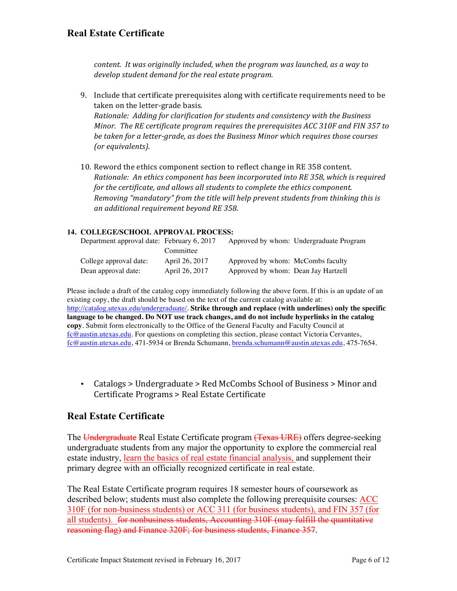*content.* It was originally included, when the program was launched, as a way to develop student demand for the real estate program.

- 9. Include that certificate prerequisites along with certificate requirements need to be taken on the letter-grade basis. *Rationale: Adding for clarification for students and consistency with the Business Minor.* The RE certificate program requires the prerequisites ACC 310F and FIN 357 to be taken for a letter-grade, as does the Business Minor which requires those courses *(or equivalents).*
- 10. Reword the ethics component section to reflect change in RE 358 content. *Rationale: An ethics component has been incorporated into RE 358, which is required for the certificate, and allows all students to complete the ethics component.* Removing "mandatory" from the title will help prevent students from thinking this is *an additional requirement beyond RE 358.*

#### **14. COLLEGE/SCHOOL APPROVAL PROCESS:**

| Department approval date: February 6, 2017 |                |                                     | Approved by whom: Undergraduate Program |
|--------------------------------------------|----------------|-------------------------------------|-----------------------------------------|
|                                            | Committee      |                                     |                                         |
| College approval date:                     | April 26, 2017 | Approved by whom: McCombs faculty   |                                         |
| Dean approval date:                        | April 26, 2017 | Approved by whom: Dean Jay Hartzell |                                         |

Please include a draft of the catalog copy immediately following the above form. If this is an update of an existing copy, the draft should be based on the text of the current catalog available at: http://catalog.utexas.edu/undergraduate/. **Strike through and replace (with underlines) only the specific language to be changed. Do NOT use track changes, and do not include hyperlinks in the catalog copy**. Submit form electronically to the Office of the General Faculty and Faculty Council at fc@austin.utexas.edu. For questions on completing this section, please contact Victoria Cervantes, fc@austin.utexas.edu, 471-5934 or Brenda Schumann, brenda.schumann@austin.utexas.edu, 475-7654.

• Catalogs > Undergraduate > Red McCombs School of Business > Minor and Certificate Programs > Real Estate Certificate

### **Real Estate Certificate**

The Undergraduate Real Estate Certificate program (Texas URE) offers degree-seeking undergraduate students from any major the opportunity to explore the commercial real estate industry, learn the basics of real estate financial analysis, and supplement their primary degree with an officially recognized certificate in real estate.

The Real Estate Certificate program requires 18 semester hours of coursework as described below; students must also complete the following prerequisite courses: ACC 310F (for non-business students) or ACC 311 (for business students), and FIN 357 (for all students). for nonbusiness students, Accounting 310F (may fulfill the quantitative reasoning flag) and Finance 320F; for business students, Finance 357.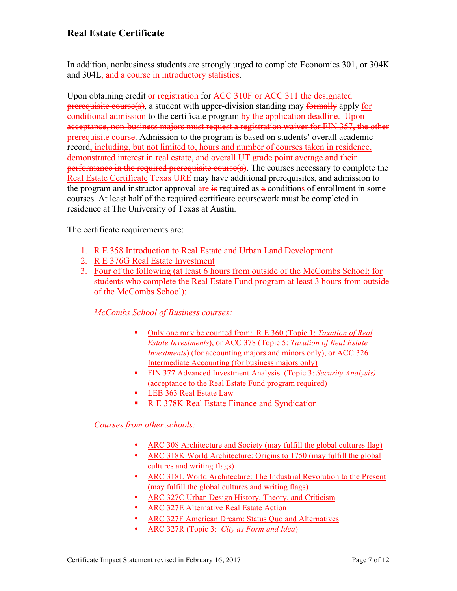In addition, nonbusiness students are strongly urged to complete Economics 301, or 304K and 304L, and a course in introductory statistics.

Upon obtaining credit or registration for ACC 310F or ACC 311 the designated prerequisite course(s), a student with upper-division standing may formally apply for conditional admission to the certificate program by the application deadline. Upon acceptance, non-business majors must request a registration waiver for FIN 357, the other prerequisite course. Admission to the program is based on students' overall academic record, including, but not limited to, hours and number of courses taken in residence, demonstrated interest in real estate, and overall UT grade point average and their performance in the required prerequisite course(s). The courses necessary to complete the Real Estate Certificate Texas URE may have additional prerequisites, and admission to the program and instructor approval are  $\frac{1}{15}$  required as  $\frac{1}{10}$  conditions of enrollment in some courses. At least half of the required certificate coursework must be completed in residence at The University of Texas at Austin.

The certificate requirements are:

- 1. R E 358 Introduction to Real Estate and Urban Land Development
- 2. R E 376G Real Estate Investment
- 3. Four of the following (at least 6 hours from outside of the McCombs School; for students who complete the Real Estate Fund program at least 3 hours from outside of the McCombs School):

*McCombs School of Business courses:*

- § Only one may be counted from: R E 360 (Topic 1: *Taxation of Real Estate Investments*), or ACC 378 (Topic 5: *Taxation of Real Estate Investments*) (for accounting majors and minors only), or ACC 326 Intermediate Accounting (for business majors only)
- § FIN 377 Advanced Investment Analysis (Topic 3: *Security Analysis)* (acceptance to the Real Estate Fund program required)
- LEB 363 Real Estate Law
- R E 378K Real Estate Finance and Syndication

### *Courses from other schools:*

- ARC 308 Architecture and Society (may fulfill the global cultures flag)
- ARC 318K World Architecture: Origins to 1750 (may fulfill the global cultures and writing flags)
- ARC 318L World Architecture: The Industrial Revolution to the Present (may fulfill the global cultures and writing flags)
- ARC 327C Urban Design History, Theory, and Criticism
- ARC 327E Alternative Real Estate Action
- ARC 327F American Dream: Status Quo and Alternatives
- ARC 327R (Topic 3: *City as Form and Idea*)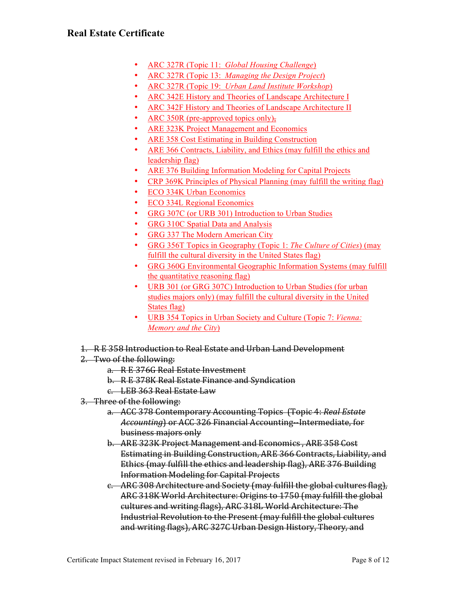- ARC 327R (Topic 11: *Global Housing Challenge*)
- ARC 327R (Topic 13: *Managing the Design Project*)
- ARC 327R (Topic 19: *Urban Land Institute Workshop*)
- ARC 342E History and Theories of Landscape Architecture I
- ARC 342F History and Theories of Landscape Architecture II
- ARC 350R (pre-approved topics only),
- ARE 323K Project Management and Economics
- ARE 358 Cost Estimating in Building Construction
- ARE 366 Contracts, Liability, and Ethics (may fulfill the ethics and leadership flag)
- ARE 376 Building Information Modeling for Capital Projects
- CRP 369K Principles of Physical Planning (may fulfill the writing flag)
- ECO 334K Urban Economics
- ECO 334L Regional Economics
- GRG 307C (or URB 301) Introduction to Urban Studies
- GRG 310C Spatial Data and Analysis
- GRG 337 The Modern American City
- GRG 356T Topics in Geography (Topic 1: *The Culture of Cities*) (may fulfill the cultural diversity in the United States flag)
- GRG 360G Environmental Geographic Information Systems (may fulfill the quantitative reasoning flag)
- URB 301 (or GRG 307C) Introduction to Urban Studies (for urban studies majors only) (may fulfill the cultural diversity in the United States flag)
- URB 354 Topics in Urban Society and Culture (Topic 7: *Vienna: Memory and the City*)
- 1. R E 358 Introduction to Real Estate and Urban Land Development
- 2. Two of the following:
	- a. R E 376G Real Estate Investment
	- b. R E 378K Real Estate Finance and Syndication
	- c. LEB 363 Real Estate Law
- 3. Three of the following:
	- a. ACC 378 Contemporary Accounting Topics (Topic 4: Real Estate *Accounting*) or ACC 326 Financial Accounting--Intermediate, for business majors only
	- b. ARE 323K Project Management and Economics, ARE 358 Cost Estimating in Building Construction, ARE 366 Contracts, Liability, and Ethics (may fulfill the ethics and leadership flag), ARE 376 Building **Information Modeling for Capital Projects**
	- e. ARC 308 Architecture and Society (may fulfill the global cultures flag), ARC 318K World Architecture: Origins to 1750 (may fulfill the global cultures and writing flags), ARC 318L World Architecture: The Industrial Revolution to the Present (may fulfill the global cultures and writing flags), ARC 327C Urban Design History, Theory, and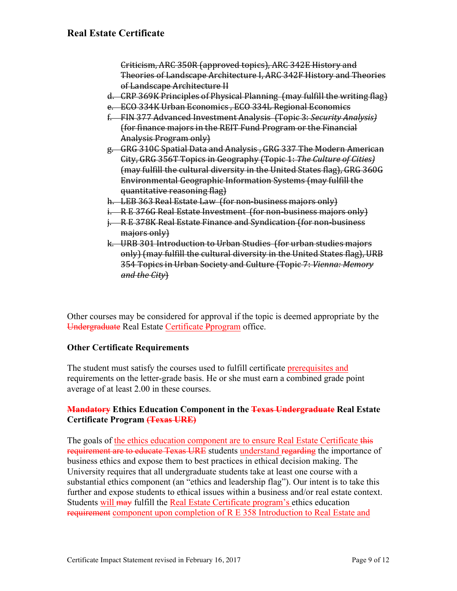Criticism, ARC 350R (approved topics), ARC 342E History and Theories of Landscape Architecture I, ARC 342F History and Theories of Landscape Architecture II

- d. CRP 369K Principles of Physical Planning (may fulfill the writing flag)
- e. ECO 334K Urban Economics, ECO 334L Regional Economics
- f. FIN 377 Advanced Investment Analysis (Topic 3: *Security Analysis)* (for finance majors in the REIT Fund Program or the Financial Analysis Program only)
- g. GRG 310C Spatial Data and Analysis, GRG 337 The Modern American City, GRG 356T Topics in Geography (Topic 1: *The Culture of Cities)* (may fulfill the cultural diversity in the United States flag), GRG 360G Environmental Geographic Information Systems (may fulfill the quantitative reasoning flag)
- h. LEB 363 Real Estate Law (for non-business majors only)
- i.  $R$  E 376G Real Estate Investment (for non-business majors only)
- i. R E 378K Real Estate Finance and Syndication (for non-business majors only)
- k. URB 301 Introduction to Urban Studies (for urban studies majors only) (may fulfill the cultural diversity in the United States flag), URB 354 Topics in Urban Society and Culture (Topic 7: *Vienna: Memory* and the City)

Other courses may be considered for approval if the topic is deemed appropriate by the Undergraduate Real Estate Certificate Pprogram office.

### **Other Certificate Requirements**

The student must satisfy the courses used to fulfill certificate prerequisites and requirements on the letter-grade basis. He or she must earn a combined grade point average of at least 2.00 in these courses.

### **Mandatory Ethics Education Component in the Texas Undergraduate Real Estate Certificate Program (Texas URE)**

The goals of the ethics education component are to ensure Real Estate Certificate this requirement are to educate Texas URE students understand regarding the importance of business ethics and expose them to best practices in ethical decision making. The University requires that all undergraduate students take at least one course with a substantial ethics component (an "ethics and leadership flag"). Our intent is to take this further and expose students to ethical issues within a business and/or real estate context. Students will may fulfill the Real Estate Certificate program's ethics education requirement component upon completion of R E 358 Introduction to Real Estate and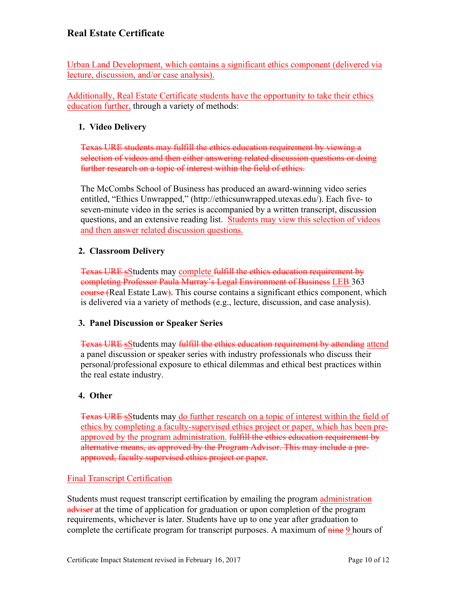Urban Land Development, which contains a significant ethics component (delivered via lecture, discussion, and/or case analysis).

Additionally, Real Estate Certificate students have the opportunity to take their ethics education further, through a variety of methods:

### **1. Video Delivery**

Texas URE students may fulfill the ethics education requirement by viewing a selection of videos and then either answering related discussion questions or doing further research on a topic of interest within the field of ethics.

The McCombs School of Business has produced an award-winning video series entitled, "Ethics Unwrapped," (http://ethicsunwrapped.utexas.edu/). Each five- to seven-minute video in the series is accompanied by a written transcript, discussion questions, and an extensive reading list. Students may view this selection of videos and then answer related discussion questions.

### **2. Classroom Delivery**

Texas URE sStudents may complete fulfill the ethics education requirement by completing Professor Paula Murray's Legal Environment of Business LEB 363 course (Real Estate Law). This course contains a significant ethics component, which is delivered via a variety of methods (e.g., lecture, discussion, and case analysis).

### **3. Panel Discussion or Speaker Series**

Texas URE sStudents may fulfill the ethics education requirement by attending attend a panel discussion or speaker series with industry professionals who discuss their personal/professional exposure to ethical dilemmas and ethical best practices within the real estate industry.

### **4. Other**

Texas URE sStudents may do further research on a topic of interest within the field of ethics by completing a faculty-supervised ethics project or paper, which has been preapproved by the program administration. fulfill the ethics education requirement by alternative means, as approved by the Program Advisor. This may include a preapproved, faculty supervised ethics project or paper.

### Final Transcript Certification

Students must request transcript certification by emailing the program administration adviser at the time of application for graduation or upon completion of the program requirements, whichever is later. Students have up to one year after graduation to complete the certificate program for transcript purposes. A maximum of nine 9 hours of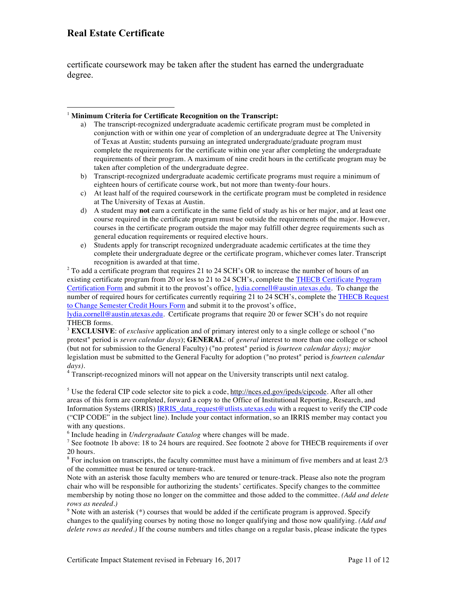certificate coursework may be taken after the student has earned the undergraduate degree.

#### <sup>1</sup> **Minimum Criteria for Certificate Recognition on the Transcript:**

- a) The transcript-recognized undergraduate academic certificate program must be completed in conjunction with or within one year of completion of an undergraduate degree at The University of Texas at Austin; students pursuing an integrated undergraduate/graduate program must complete the requirements for the certificate within one year after completing the undergraduate requirements of their program. A maximum of nine credit hours in the certificate program may be taken after completion of the undergraduate degree.
- b) Transcript-recognized undergraduate academic certificate programs must require a minimum of eighteen hours of certificate course work, but not more than twenty-four hours.
- c) At least half of the required coursework in the certificate program must be completed in residence at The University of Texas at Austin.
- d) A student may **not** earn a certificate in the same field of study as his or her major, and at least one course required in the certificate program must be outside the requirements of the major. However, courses in the certificate program outside the major may fulfill other degree requirements such as general education requirements or required elective hours.
- e) Students apply for transcript recognized undergraduate academic certificates at the time they complete their undergraduate degree or the certificate program, whichever comes later. Transcript recognition is awarded at that time.

 $2$  To add a certificate program that requires 21 to 24 SCH's OR to increase the number of hours of an existing certificate program from 20 or less to 21 to 24 SCH's, complete the THECB Certificate Program Certification Form and submit it to the provost's office, lydia.cornell@austin.utexas.edu. To change the number of required hours for certificates currently requiring 21 to 24 SCH's, complete the THECB Request to Change Semester Credit Hours Form and submit it to the provost's office,

lydia.cornell@austin.utexas.edu. Certificate programs that require 20 or fewer SCH's do not require THECB forms.

<sup>3</sup> **EXCLUSIVE**: of *exclusive* application and of primary interest only to a single college or school ("no protest" period is *seven calendar days*); **GENERAL**: of *general* interest to more than one college or school (but not for submission to the General Faculty) ("no protest" period is *fourteen calendar days); major* legislation must be submitted to the General Faculty for adoption ("no protest" period is *fourteen calendar days).*

<sup>4</sup> Transcript-recognized minors will not appear on the University transcripts until next catalog.

<sup>5</sup> Use the federal CIP code selector site to pick a code, http://nces.ed.gov/ipeds/cipcode. After all other areas of this form are completed, forward a copy to the Office of Institutional Reporting, Research, and Information Systems (IRRIS) IRRIS\_data\_request@utlists.utexas.edu with a request to verify the CIP code ("CIP CODE" in the subject line). Include your contact information, so an IRRIS member may contact you with any questions.

<sup>6</sup> Include heading in *Undergraduate Catalog* where changes will be made.

<sup>7</sup> See footnote 1b above: 18 to 24 hours are required. See footnote 2 above for THECB requirements if over 20 hours.

 $8$  For inclusion on transcripts, the faculty committee must have a minimum of five members and at least  $2/3$ of the committee must be tenured or tenure-track.

Note with an asterisk those faculty members who are tenured or tenure-track. Please also note the program chair who will be responsible for authorizing the students' certificates. Specify changes to the committee membership by noting those no longer on the committee and those added to the committee. *(Add and delete rows as needed.)*

<sup>9</sup> Note with an asterisk (\*) courses that would be added if the certificate program is approved. Specify changes to the qualifying courses by noting those no longer qualifying and those now qualifying. *(Add and delete rows as needed.)* If the course numbers and titles change on a regular basis, please indicate the types